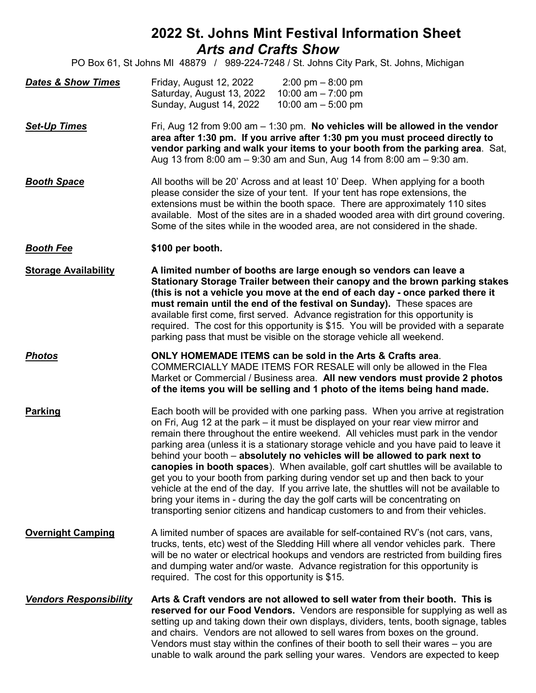# **2022 St. Johns Mint Festival Information Sheet** *Arts and Crafts Show*

PO Box 61, St Johns MI 48879 / 989-224-7248 / St. Johns City Park, St. Johns, Michigan

| <b>Dates &amp; Show Times</b> | Friday, August 12, 2022   | $2:00 \text{ pm} - 8:00 \text{ pm}$ |
|-------------------------------|---------------------------|-------------------------------------|
|                               | Saturday, August 13, 2022 | 10:00 am $-$ 7:00 pm                |
|                               | Sunday, August 14, 2022   | 10:00 am $-$ 5:00 pm                |

*Set-Up Times* Fri, Aug 12 from 9:00 am – 1:30 pm. **No vehicles will be allowed in the vendor area after 1:30 pm. If you arrive after 1:30 pm you must proceed directly to vendor parking and walk your items to your booth from the parking area**. Sat, Aug 13 from 8:00 am – 9:30 am and Sun, Aug 14 from 8:00 am – 9:30 am.

**Booth Space** All booths will be 20' Across and at least 10' Deep. When applying for a booth please consider the size of your tent. If your tent has rope extensions, the extensions must be within the booth space. There are approximately 110 sites available. Most of the sites are in a shaded wooded area with dirt ground covering. Some of the sites while in the wooded area, are not considered in the shade.

#### *Booth Fee* **\$100 per booth.**

**Storage Availability A limited number of booths are large enough so vendors can leave a Stationary Storage Trailer between their canopy and the brown parking stakes (this is not a vehicle you move at the end of each day - once parked there it must remain until the end of the festival on Sunday).** These spaces are available first come, first served. Advance registration for this opportunity is required. The cost for this opportunity is \$15. You will be provided with a separate parking pass that must be visible on the storage vehicle all weekend.

*Photos* **ONLY HOMEMADE ITEMS can be sold in the Arts & Crafts area**. COMMERCIALLY MADE ITEMS FOR RESALE will only be allowed in the Flea Market or Commercial / Business area. **All new vendors must provide 2 photos of the items you will be selling and 1 photo of the items being hand made.** 

**Parking** Each booth will be provided with one parking pass. When you arrive at registration on Fri, Aug 12 at the park – it must be displayed on your rear view mirror and remain there throughout the entire weekend. All vehicles must park in the vendor parking area (unless it is a stationary storage vehicle and you have paid to leave it behind your booth – **absolutely no vehicles will be allowed to park next to canopies in booth spaces**). When available, golf cart shuttles will be available to get you to your booth from parking during vendor set up and then back to your vehicle at the end of the day. If you arrive late, the shuttles will not be available to bring your items in - during the day the golf carts will be concentrating on transporting senior citizens and handicap customers to and from their vehicles.

**Overnight Camping** A limited number of spaces are available for self-contained RV's (not cars, vans, trucks, tents, etc) west of the Sledding Hill where all vendor vehicles park. There will be no water or electrical hookups and vendors are restricted from building fires and dumping water and/or waste. Advance registration for this opportunity is required. The cost for this opportunity is \$15.

*Vendors Responsibility* **Arts & Craft vendors are not allowed to sell water from their booth. This is reserved for our Food Vendors.** Vendors are responsible for supplying as well as setting up and taking down their own displays, dividers, tents, booth signage, tables and chairs. Vendors are not allowed to sell wares from boxes on the ground. Vendors must stay within the confines of their booth to sell their wares – you are unable to walk around the park selling your wares. Vendors are expected to keep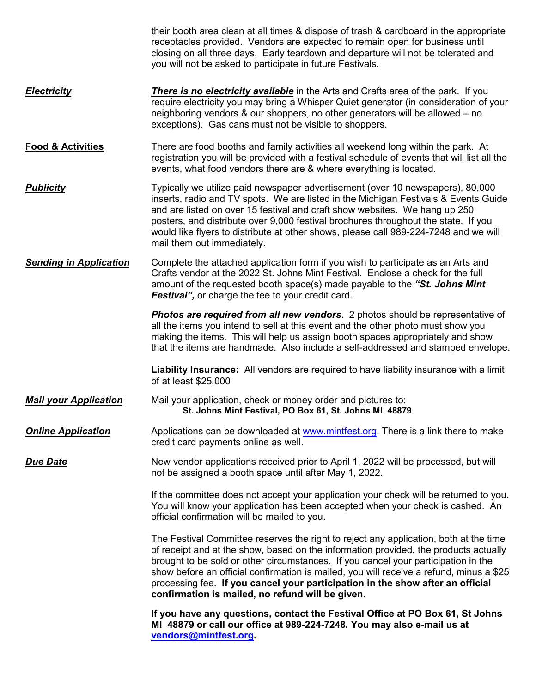|                               | their booth area clean at all times & dispose of trash & cardboard in the appropriate<br>receptacles provided. Vendors are expected to remain open for business until<br>closing on all three days. Early teardown and departure will not be tolerated and<br>you will not be asked to participate in future Festivals.                                                                                                                                                                              |
|-------------------------------|------------------------------------------------------------------------------------------------------------------------------------------------------------------------------------------------------------------------------------------------------------------------------------------------------------------------------------------------------------------------------------------------------------------------------------------------------------------------------------------------------|
| <b>Electricity</b>            | <b>There is no electricity available</b> in the Arts and Crafts area of the park. If you<br>require electricity you may bring a Whisper Quiet generator (in consideration of your<br>neighboring vendors & our shoppers, no other generators will be allowed – no<br>exceptions). Gas cans must not be visible to shoppers.                                                                                                                                                                          |
| <b>Food &amp; Activities</b>  | There are food booths and family activities all weekend long within the park. At<br>registration you will be provided with a festival schedule of events that will list all the<br>events, what food vendors there are & where everything is located.                                                                                                                                                                                                                                                |
| <b>Publicity</b>              | Typically we utilize paid newspaper advertisement (over 10 newspapers), 80,000<br>inserts, radio and TV spots. We are listed in the Michigan Festivals & Events Guide<br>and are listed on over 15 festival and craft show websites. We hang up 250<br>posters, and distribute over 9,000 festival brochures throughout the state. If you<br>would like flyers to distribute at other shows, please call 989-224-7248 and we will<br>mail them out immediately.                                      |
| <b>Sending in Application</b> | Complete the attached application form if you wish to participate as an Arts and<br>Crafts vendor at the 2022 St. Johns Mint Festival. Enclose a check for the full<br>amount of the requested booth space(s) made payable to the "St. Johns Mint<br><b>Festival</b> ", or charge the fee to your credit card.                                                                                                                                                                                       |
|                               | <b>Photos are required from all new vendors</b> . 2 photos should be representative of<br>all the items you intend to sell at this event and the other photo must show you<br>making the items. This will help us assign booth spaces appropriately and show<br>that the items are handmade. Also include a self-addressed and stamped envelope.                                                                                                                                                     |
|                               | Liability Insurance: All vendors are required to have liability insurance with a limit<br>of at least \$25,000                                                                                                                                                                                                                                                                                                                                                                                       |
| <b>Mail your Application</b>  | Mail your application, check or money order and pictures to:<br>St. Johns Mint Festival, PO Box 61, St. Johns MI 48879                                                                                                                                                                                                                                                                                                                                                                               |
| <b>Online Application</b>     | Applications can be downloaded at www.mintfest.org. There is a link there to make<br>credit card payments online as well.                                                                                                                                                                                                                                                                                                                                                                            |
| <b>Due Date</b>               | New vendor applications received prior to April 1, 2022 will be processed, but will<br>not be assigned a booth space until after May 1, 2022.                                                                                                                                                                                                                                                                                                                                                        |
|                               | If the committee does not accept your application your check will be returned to you.<br>You will know your application has been accepted when your check is cashed. An<br>official confirmation will be mailed to you.                                                                                                                                                                                                                                                                              |
|                               | The Festival Committee reserves the right to reject any application, both at the time<br>of receipt and at the show, based on the information provided, the products actually<br>brought to be sold or other circumstances. If you cancel your participation in the<br>show before an official confirmation is mailed, you will receive a refund, minus a \$25<br>processing fee. If you cancel your participation in the show after an official<br>confirmation is mailed, no refund will be given. |
|                               | If you have any questions, contact the Festival Office at PO Box 61, St Johns<br>MI 48879 or call our office at 989-224-7248. You may also e-mail us at<br>vendors@mintfest.org.                                                                                                                                                                                                                                                                                                                     |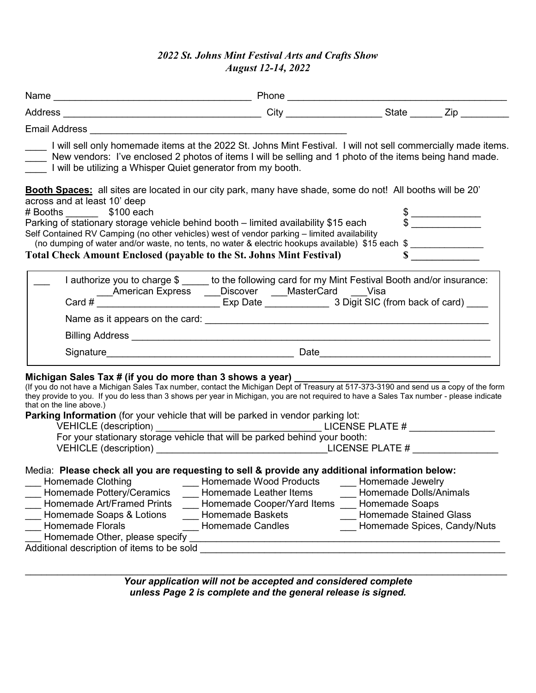## *2022 St. Johns Mint Festival Arts and Crafts Show August 12-14, 2022*

| Email Address and the contract of the contract of the contract of the contract of the contract of the contract of the contract of the contract of the contract of the contract of the contract of the contract of the contract                                                                                                                                                                                                                                                                                                                                                        |                                                                                                                                                                                                         |                                                                                                                              |  |
|---------------------------------------------------------------------------------------------------------------------------------------------------------------------------------------------------------------------------------------------------------------------------------------------------------------------------------------------------------------------------------------------------------------------------------------------------------------------------------------------------------------------------------------------------------------------------------------|---------------------------------------------------------------------------------------------------------------------------------------------------------------------------------------------------------|------------------------------------------------------------------------------------------------------------------------------|--|
| I will sell only homemade items at the 2022 St. Johns Mint Festival. I will not sell commercially made items.<br>New vendors: I've enclosed 2 photos of items I will be selling and 1 photo of the items being hand made.<br>I will be utilizing a Whisper Quiet generator from my booth.                                                                                                                                                                                                                                                                                             |                                                                                                                                                                                                         |                                                                                                                              |  |
| Booth Spaces: all sites are located in our city park, many have shade, some do not! All booths will be 20'<br>across and at least 10' deep<br>#Booths \$100 each<br>Parking of stationary storage vehicle behind booth - limited availability \$15 each<br>Self Contained RV Camping (no other vehicles) west of vendor parking - limited availability<br>SIT Contained Ky Camping (no once venotes) needs a selectric hookups available) \$15 each \$<br><b>Total Check Amount Enclosed (payable to the St. Johns Mint Festival)</b>                                                 |                                                                                                                                                                                                         | $\begin{array}{c c}\n\texttt{\$} & \texttt{\$} \\ \texttt{\$} & \texttt{\$} \\ \texttt{\$} & \texttt{\$} \\ \end{array}$     |  |
| I authorize you to charge \$ _____ to the following card for my Mint Festival Booth and/or insurance:                                                                                                                                                                                                                                                                                                                                                                                                                                                                                 |                                                                                                                                                                                                         |                                                                                                                              |  |
|                                                                                                                                                                                                                                                                                                                                                                                                                                                                                                                                                                                       |                                                                                                                                                                                                         |                                                                                                                              |  |
| Michigan Sales Tax # (if you do more than 3 shows a year)<br>(If you do not have a Michigan Sales Tax number, contact the Michigan Dept of Treasury at 517-373-3190 and send us a copy of the form<br>they provide to you. If you do less than 3 shows per year in Michigan, you are not required to have a Sales Tax number - please indicate<br>that on the line above.)<br>Parking Information (for your vehicle that will be parked in vendor parking lot:<br>VEHICLE (description) LICENSE PLATE #<br>For your stationary storage vehicle that will be parked behind your booth: |                                                                                                                                                                                                         |                                                                                                                              |  |
| Media: Please check all you are requesting to sell & provide any additional information below:<br>Homemade Clothing<br>Homemade Pottery/Ceramics<br>Homemade Art/Framed Prints<br>Homemade Baskets<br>Homemade Soaps & Lotions<br><b>Homemade Florals</b><br>Homemade Candles<br>Homemade Other, please specify<br>Additional description of items to be sold                                                                                                                                                                                                                         | Homemade Wood Products<br>Homemade Leather Items<br>Homemade Cooper/Yard Items<br><u> 1980 - Jan Barbara, margaret amerikan basar dan berasal dan berasal dalam basar dalam basar dalam basar dalam</u> | Homemade Jewelry<br>Homemade Dolls/Animals<br>Homemade Soaps<br><b>Homemade Stained Glass</b><br>Homemade Spices, Candy/Nuts |  |

\_\_\_\_\_\_\_\_\_\_\_\_\_\_\_\_\_\_\_\_\_\_\_\_\_\_\_\_\_\_\_\_\_\_\_\_\_\_\_\_\_\_\_\_\_\_\_\_\_\_\_\_\_\_\_\_\_\_\_\_\_\_\_\_\_\_\_\_\_\_\_\_\_\_\_\_\_\_\_\_\_\_\_\_\_\_\_\_\_\_ *Your application will not be accepted and considered complete unless Page 2 is complete and the general release is signed.*